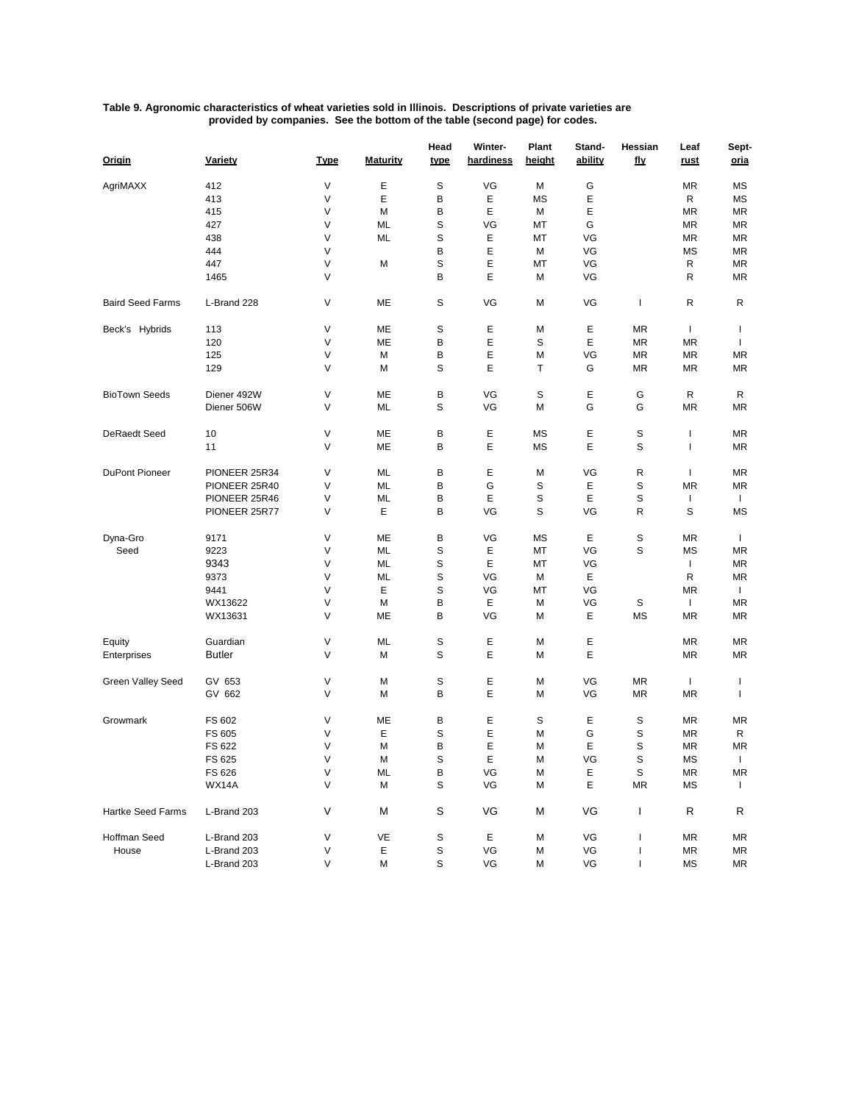## **Table 9. Agronomic characteristics of wheat varieties sold in Illinois. Descriptions of private varieties are provided by companies. See the bottom of the table (second page) for codes.**

| Origin                  | Variety       | <b>Type</b> | <b>Maturity</b> | Head<br>type | Winter-<br>hardiness | Plant<br><u>height</u> | Stand-<br>ability | Hessian<br>fly | Leaf<br>rust | Sept-<br>oria |
|-------------------------|---------------|-------------|-----------------|--------------|----------------------|------------------------|-------------------|----------------|--------------|---------------|
| AgriMAXX                | 412           | V           | Ε               | S            | VG                   | M                      | G                 |                | <b>MR</b>    | MS            |
|                         | 413           | $\vee$      | Ε               | B            | Ε                    | <b>MS</b>              | Ε                 |                | R            | MS            |
|                         | 415           | V           | M               | В            | E                    | M                      | E                 |                | <b>MR</b>    | <b>MR</b>     |
|                         | 427           | V           | ML              | S            | VG                   | МT                     | G                 |                | MR           | MR            |
|                         | 438           | $\vee$      | ML              | S            | Ε                    | МT                     | VG                |                | <b>MR</b>    | <b>MR</b>     |
|                         | 444           | V           |                 | В            | Е                    | M                      | VG                |                | <b>MS</b>    | MR            |
|                         | 447           | $\vee$      | M               | S            | Ε                    | МT                     | VG                |                | R            | <b>MR</b>     |
|                         | 1465          | $\vee$      |                 | B            | E                    | M                      | VG                |                | R            | <b>MR</b>     |
| <b>Baird Seed Farms</b> | L-Brand 228   | V           | ME              | S            | VG                   | M                      | VG                | I.             | R            | R             |
| Beck's Hybrids          | 113           | $\vee$      | ME              | S            | Ε                    | M                      | Ε                 | <b>MR</b>      | $\mathbf{I}$ | $\mathsf{I}$  |
|                         | 120           | V           | ME              | B            | E                    | S                      | E                 | <b>MR</b>      | МR           | $\mathbf{I}$  |
|                         | 125           | V           | M               | B            | Ε                    | M                      | VG                | ΜR             | МR           | MR            |
|                         | 129           | V           | M               | S            | Е                    | т                      | G                 | <b>MR</b>      | <b>MR</b>    | ΜR            |
| <b>BioTown Seeds</b>    | Diener 492W   | V           | ME              | B            | VG                   | S                      | E                 | G              | R            | R             |
|                         | Diener 506W   | V           | ML              | S            | VG                   | M                      | G                 | G              | <b>MR</b>    | <b>MR</b>     |
| <b>DeRaedt Seed</b>     | 10            | $\vee$      | ME              | В            | Ε                    | <b>MS</b>              | Ε                 | S              | I            | MR            |
|                         | 11            | V           | ME              | в            | E                    | <b>MS</b>              | E                 | S              | ı            | MR            |
| DuPont Pioneer          | PIONEER 25R34 | $\vee$      | ML              | в            | Е                    | M                      | VG                | R              | $\mathbf{I}$ | MR            |
|                         | PIONEER 25R40 | $\vee$      | ML              | В            | G                    | S                      | Ε                 | S              | <b>MR</b>    | <b>MR</b>     |
|                         | PIONEER 25R46 | V           | ML              | В            | E                    | S                      | E                 | S              | $\mathsf{I}$ | Τ.            |
|                         | PIONEER 25R77 | $\vee$      | Ε               | В            | VG                   | S                      | VG                | R              | S            | <b>MS</b>     |
| Dyna-Gro                | 9171          | $\vee$      | ME              | В            | VG                   | <b>MS</b>              | E                 | S              | ΜR           | $\mathbf{I}$  |
| Seed                    | 9223          | $\vee$      | ML              | S            | E                    | MT                     | VG                | S              | MS           | <b>MR</b>     |
|                         | 9343          | V           | ML              | S            | E                    | МT                     | VG                |                | J.           | MR            |
|                         | 9373          | $\vee$      | ML              | S            | VG                   | M                      | Ε                 |                | R            | MR            |
|                         | 9441          | $\vee$      | Ε               | S            | VG                   | MT                     | VG                |                | <b>MR</b>    | $\mathbf{I}$  |
|                         | WX13622       | $\vee$      | M               | В            | Е                    | M                      | VG                | S              | J.           | <b>MR</b>     |
|                         | WX13631       | $\vee$      | ME              | B            | VG                   | M                      | Ε                 | <b>MS</b>      | <b>MR</b>    | ΜR            |
| Equity                  | Guardian      | $\vee$      | ML              | S            | E                    | M                      | Ε                 |                | <b>MR</b>    | <b>MR</b>     |
| Enterprises             | <b>Butler</b> | V           | M               | S            | E                    | M                      | E                 |                | MR           | MR            |
| Green Valley Seed       | GV 653        | V           | M               | S            | Ε                    | M                      | VG                | <b>MR</b>      | $\mathbf{I}$ | T             |
|                         | GV 662        | $\vee$      | M               | В            | E                    | M                      | VG                | MR             | <b>MR</b>    | $\mathbf{I}$  |
| Growmark                | FS 602        | V           | ME              | В            | Е                    | S                      | Ε                 | S              | MR           | MR            |
|                         | FS 605        | V           | Е               | S            | Е                    | M                      | G                 | S              | MR           | R             |
|                         | FS 622        | V           | M               | B            | Е                    | M                      | E                 | S              | ΜR           | <b>MR</b>     |
|                         | FS 625        | $\vee$      | М               | S            | E                    | M                      | VG                | S              | MS           | T             |
|                         | FS 626        | V           | ML              | В            | VG                   | M                      | Е                 | $\mathbb S$    | MR           | MR            |
|                         | WX14A         | $\vee$      | M               | S            | VG                   | M                      | Е                 | MR             | МS           | $\mathsf{I}$  |
| Hartke Seed Farms       | L-Brand 203   | $\vee$      | M               | S            | VG                   | M                      | VG                | T              | R            | R             |
| Hoffman Seed            | L-Brand 203   | V           | VE              | S            | Ε                    | M                      | VG                | I              | MR           | MR            |
| House                   | L-Brand 203   | V           | Ε               | S            | VG                   | M                      | VG                | I              | MR           | MR            |
|                         | L-Brand 203   | V           | М               | S            | VG                   | М                      | VG                | I              | МS           | MR            |